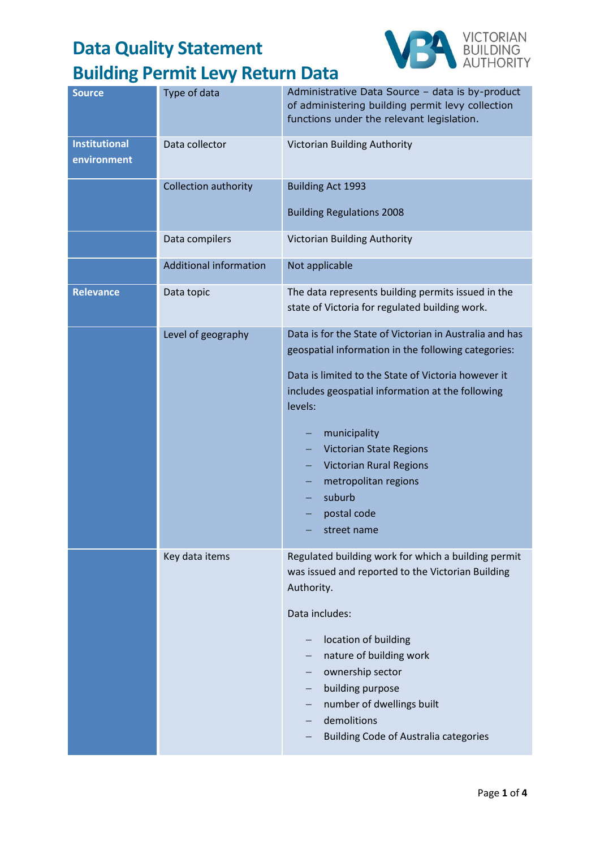

| Type of data                  | Administrative Data Source - data is by-product<br>of administering building permit levy collection<br>functions under the relevant legislation.                                                                                                                                                                                                                                         |
|-------------------------------|------------------------------------------------------------------------------------------------------------------------------------------------------------------------------------------------------------------------------------------------------------------------------------------------------------------------------------------------------------------------------------------|
| Data collector                | Victorian Building Authority                                                                                                                                                                                                                                                                                                                                                             |
| Collection authority          | <b>Building Act 1993</b>                                                                                                                                                                                                                                                                                                                                                                 |
|                               | <b>Building Regulations 2008</b>                                                                                                                                                                                                                                                                                                                                                         |
| Data compilers                | Victorian Building Authority                                                                                                                                                                                                                                                                                                                                                             |
| <b>Additional information</b> | Not applicable                                                                                                                                                                                                                                                                                                                                                                           |
| Data topic                    | The data represents building permits issued in the<br>state of Victoria for regulated building work.                                                                                                                                                                                                                                                                                     |
| Level of geography            | Data is for the State of Victorian in Australia and has<br>geospatial information in the following categories:<br>Data is limited to the State of Victoria however it<br>includes geospatial information at the following<br>levels:<br>municipality<br><b>Victorian State Regions</b><br><b>Victorian Rural Regions</b><br>metropolitan regions<br>suburb<br>postal code<br>street name |
| Key data items                | Regulated building work for which a building permit<br>was issued and reported to the Victorian Building<br>Authority.<br>Data includes:<br>location of building<br>nature of building work<br>ownership sector<br>building purpose<br>number of dwellings built<br>—<br>demolitions<br><b>Building Code of Australia categories</b>                                                     |
|                               |                                                                                                                                                                                                                                                                                                                                                                                          |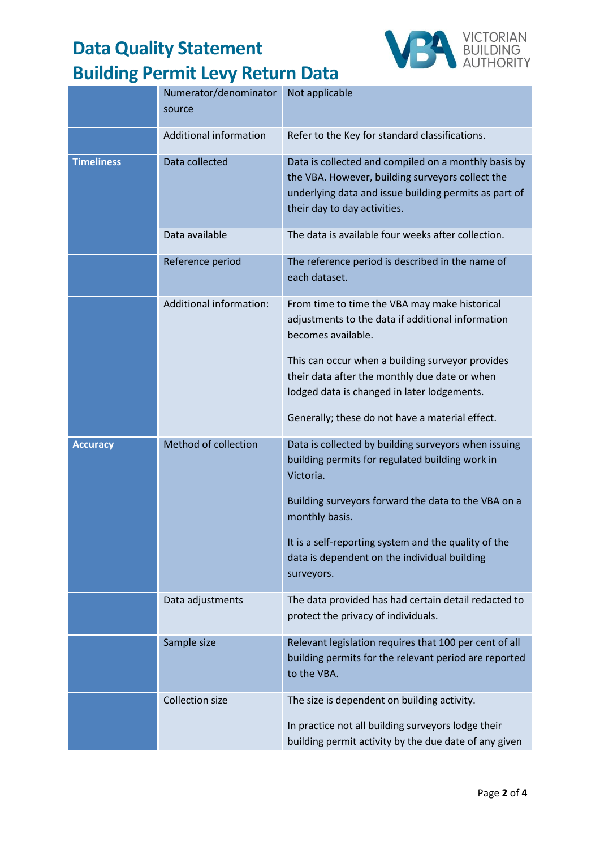

|                   | Numerator/denominator<br>source | Not applicable                                                                                                                                                                                    |
|-------------------|---------------------------------|---------------------------------------------------------------------------------------------------------------------------------------------------------------------------------------------------|
|                   | <b>Additional information</b>   | Refer to the Key for standard classifications.                                                                                                                                                    |
| <b>Timeliness</b> | Data collected                  | Data is collected and compiled on a monthly basis by<br>the VBA. However, building surveyors collect the<br>underlying data and issue building permits as part of<br>their day to day activities. |
|                   | Data available                  | The data is available four weeks after collection.                                                                                                                                                |
|                   | Reference period                | The reference period is described in the name of<br>each dataset.                                                                                                                                 |
|                   | Additional information:         | From time to time the VBA may make historical<br>adjustments to the data if additional information<br>becomes available.                                                                          |
|                   |                                 | This can occur when a building surveyor provides<br>their data after the monthly due date or when<br>lodged data is changed in later lodgements.                                                  |
|                   |                                 | Generally; these do not have a material effect.                                                                                                                                                   |
| <b>Accuracy</b>   | Method of collection            | Data is collected by building surveyors when issuing<br>building permits for regulated building work in<br>Victoria.                                                                              |
|                   |                                 | Building surveyors forward the data to the VBA on a<br>monthly basis.                                                                                                                             |
|                   |                                 | It is a self-reporting system and the quality of the<br>data is dependent on the individual building<br>surveyors.                                                                                |
|                   | Data adjustments                | The data provided has had certain detail redacted to<br>protect the privacy of individuals.                                                                                                       |
|                   | Sample size                     | Relevant legislation requires that 100 per cent of all<br>building permits for the relevant period are reported<br>to the VBA.                                                                    |
|                   | <b>Collection size</b>          | The size is dependent on building activity.<br>In practice not all building surveyors lodge their<br>building permit activity by the due date of any given                                        |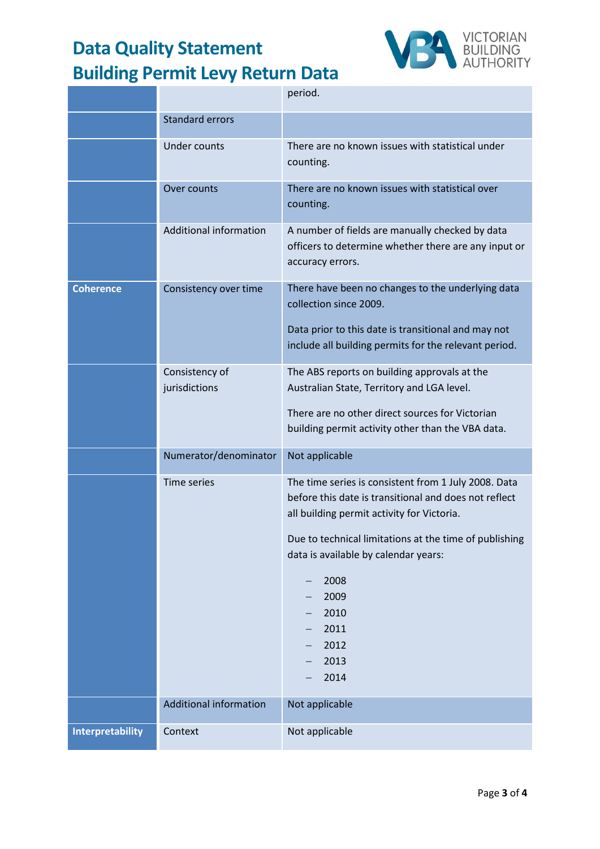

|                         |                                 | period.                                                                                                                                                     |
|-------------------------|---------------------------------|-------------------------------------------------------------------------------------------------------------------------------------------------------------|
|                         | <b>Standard errors</b>          |                                                                                                                                                             |
|                         | <b>Under counts</b>             | There are no known issues with statistical under<br>counting.                                                                                               |
|                         | Over counts                     | There are no known issues with statistical over<br>counting.                                                                                                |
|                         | Additional information          | A number of fields are manually checked by data<br>officers to determine whether there are any input or<br>accuracy errors.                                 |
| <b>Coherence</b>        | Consistency over time           | There have been no changes to the underlying data<br>collection since 2009.                                                                                 |
|                         |                                 | Data prior to this date is transitional and may not<br>include all building permits for the relevant period.                                                |
|                         | Consistency of<br>jurisdictions | The ABS reports on building approvals at the<br>Australian State, Territory and LGA level.                                                                  |
|                         |                                 | There are no other direct sources for Victorian<br>building permit activity other than the VBA data.                                                        |
|                         | Numerator/denominator           | Not applicable                                                                                                                                              |
|                         | Time series                     | The time series is consistent from 1 July 2008. Data<br>before this date is transitional and does not reflect<br>all building permit activity for Victoria. |
|                         |                                 | Due to technical limitations at the time of publishing<br>data is available by calendar years:                                                              |
|                         |                                 | 2008<br>2009                                                                                                                                                |
|                         |                                 | 2010<br>2011                                                                                                                                                |
|                         |                                 | 2012<br>2013                                                                                                                                                |
|                         |                                 | 2014                                                                                                                                                        |
|                         | <b>Additional information</b>   | Not applicable                                                                                                                                              |
| <b>Interpretability</b> | Context                         | Not applicable                                                                                                                                              |